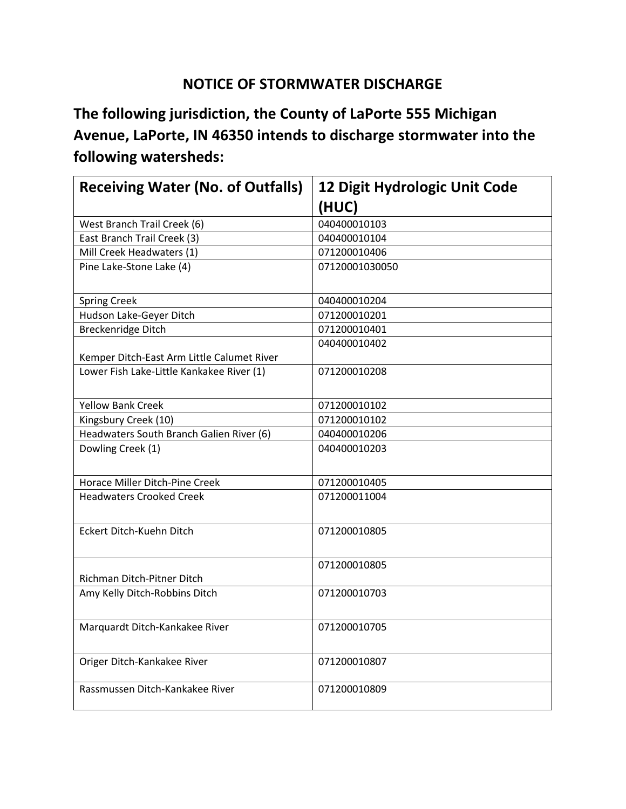## **NOTICE OF STORMWATER DISCHARGE**

**The following jurisdiction, the County of LaPorte 555 Michigan Avenue, LaPorte, IN 46350 intends to discharge stormwater into the following watersheds:**

| <b>Receiving Water (No. of Outfalls)</b>   | 12 Digit Hydrologic Unit Code |
|--------------------------------------------|-------------------------------|
|                                            | (HUC)                         |
| West Branch Trail Creek (6)                | 040400010103                  |
| East Branch Trail Creek (3)                | 040400010104                  |
| Mill Creek Headwaters (1)                  | 071200010406                  |
| Pine Lake-Stone Lake (4)                   | 07120001030050                |
| <b>Spring Creek</b>                        | 040400010204                  |
| Hudson Lake-Geyer Ditch                    | 071200010201                  |
| Breckenridge Ditch                         | 071200010401                  |
|                                            | 040400010402                  |
| Kemper Ditch-East Arm Little Calumet River |                               |
| Lower Fish Lake-Little Kankakee River (1)  | 071200010208                  |
| <b>Yellow Bank Creek</b>                   | 071200010102                  |
| Kingsbury Creek (10)                       | 071200010102                  |
| Headwaters South Branch Galien River (6)   | 040400010206                  |
| Dowling Creek (1)                          | 040400010203                  |
| Horace Miller Ditch-Pine Creek             | 071200010405                  |
| <b>Headwaters Crooked Creek</b>            | 071200011004                  |
| Eckert Ditch-Kuehn Ditch                   | 071200010805                  |
| Richman Ditch-Pitner Ditch                 | 071200010805                  |
| Amy Kelly Ditch-Robbins Ditch              | 071200010703                  |
| Marquardt Ditch-Kankakee River             | 071200010705                  |
| Origer Ditch-Kankakee River                | 071200010807                  |
| Rassmussen Ditch-Kankakee River            | 071200010809                  |